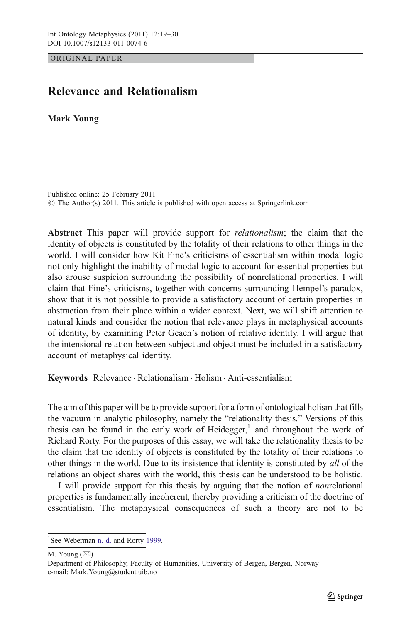OR IG INAL PAPER

# Relevance and Relationalism

Mark Young

Published online: 25 February 2011  $\circ$  The Author(s) 2011. This article is published with open access at Springerlink.com

Abstract This paper will provide support for *relationalism*; the claim that the identity of objects is constituted by the totality of their relations to other things in the world. I will consider how Kit Fine's criticisms of essentialism within modal logic not only highlight the inability of modal logic to account for essential properties but also arouse suspicion surrounding the possibility of nonrelational properties. I will claim that Fine's criticisms, together with concerns surrounding Hempel's paradox, show that it is not possible to provide a satisfactory account of certain properties in abstraction from their place within a wider context. Next, we will shift attention to natural kinds and consider the notion that relevance plays in metaphysical accounts of identity, by examining Peter Geach's notion of relative identity. I will argue that the intensional relation between subject and object must be included in a satisfactory account of metaphysical identity.

Keywords Relevance . Relationalism . Holism . Anti-essentialism

The aim of this paper will be to provide support for a form of ontological holism that fills the vacuum in analytic philosophy, namely the "relationality thesis." Versions of this thesis can be found in the early work of Heidegger,<sup>1</sup> and throughout the work of Richard Rorty. For the purposes of this essay, we will take the relationality thesis to be the claim that the identity of objects is constituted by the totality of their relations to other things in the world. Due to its insistence that identity is constituted by all of the relations an object shares with the world, this thesis can be understood to be holistic.

I will provide support for this thesis by arguing that the notion of nonrelational properties is fundamentally incoherent, thereby providing a criticism of the doctrine of essentialism. The metaphysical consequences of such a theory are not to be

M. Young  $(\boxtimes)$ 

<sup>&</sup>lt;sup>1</sup>See Weberman [n. d.](#page-11-0) and Rorty [1999](#page-11-0).

Department of Philosophy, Faculty of Humanities, University of Bergen, Bergen, Norway e-mail: Mark.Young@student.uib.no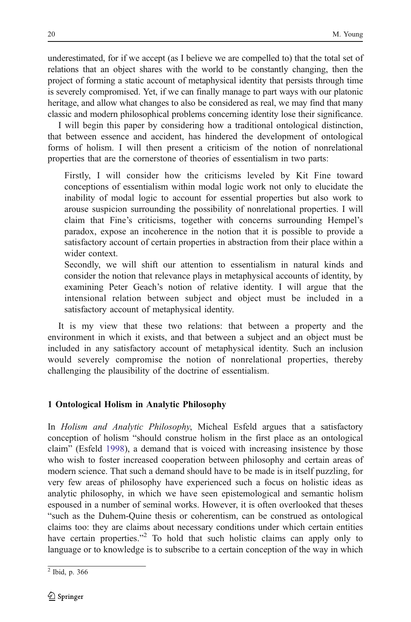underestimated, for if we accept (as I believe we are compelled to) that the total set of relations that an object shares with the world to be constantly changing, then the project of forming a static account of metaphysical identity that persists through time is severely compromised. Yet, if we can finally manage to part ways with our platonic heritage, and allow what changes to also be considered as real, we may find that many classic and modern philosophical problems concerning identity lose their significance.

I will begin this paper by considering how a traditional ontological distinction, that between essence and accident, has hindered the development of ontological forms of holism. I will then present a criticism of the notion of nonrelational properties that are the cornerstone of theories of essentialism in two parts:

Firstly, I will consider how the criticisms leveled by Kit Fine toward conceptions of essentialism within modal logic work not only to elucidate the inability of modal logic to account for essential properties but also work to arouse suspicion surrounding the possibility of nonrelational properties. I will claim that Fine's criticisms, together with concerns surrounding Hempel's paradox, expose an incoherence in the notion that it is possible to provide a satisfactory account of certain properties in abstraction from their place within a wider context.

Secondly, we will shift our attention to essentialism in natural kinds and consider the notion that relevance plays in metaphysical accounts of identity, by examining Peter Geach's notion of relative identity. I will argue that the intensional relation between subject and object must be included in a satisfactory account of metaphysical identity.

It is my view that these two relations: that between a property and the environment in which it exists, and that between a subject and an object must be included in any satisfactory account of metaphysical identity. Such an inclusion would severely compromise the notion of nonrelational properties, thereby challenging the plausibility of the doctrine of essentialism.

## 1 Ontological Holism in Analytic Philosophy

In Holism and Analytic Philosophy, Micheal Esfeld argues that a satisfactory conception of holism "should construe holism in the first place as an ontological claim" (Esfeld [1998](#page-11-0)), a demand that is voiced with increasing insistence by those who wish to foster increased cooperation between philosophy and certain areas of modern science. That such a demand should have to be made is in itself puzzling, for very few areas of philosophy have experienced such a focus on holistic ideas as analytic philosophy, in which we have seen epistemological and semantic holism espoused in a number of seminal works. However, it is often overlooked that theses "such as the Duhem-Quine thesis or coherentism, can be construed as ontological claims too: they are claims about necessary conditions under which certain entities have certain properties."<sup>2</sup> To hold that such holistic claims can apply only to language or to knowledge is to subscribe to a certain conception of the way in which

<sup>2</sup> Ibid, p. 366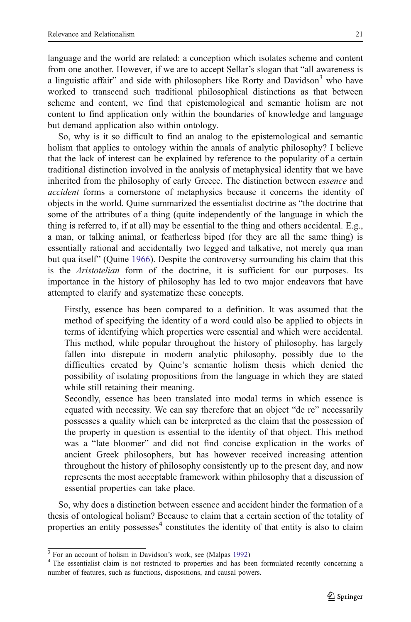language and the world are related: a conception which isolates scheme and content from one another. However, if we are to accept Sellar's slogan that "all awareness is a linguistic affair" and side with philosophers like Rorty and Davidson<sup>3</sup> who have worked to transcend such traditional philosophical distinctions as that between scheme and content, we find that epistemological and semantic holism are not content to find application only within the boundaries of knowledge and language but demand application also within ontology.

So, why is it so difficult to find an analog to the epistemological and semantic holism that applies to ontology within the annals of analytic philosophy? I believe that the lack of interest can be explained by reference to the popularity of a certain traditional distinction involved in the analysis of metaphysical identity that we have inherited from the philosophy of early Greece. The distinction between essence and accident forms a cornerstone of metaphysics because it concerns the identity of objects in the world. Quine summarized the essentialist doctrine as "the doctrine that some of the attributes of a thing (quite independently of the language in which the thing is referred to, if at all) may be essential to the thing and others accidental. E.g., a man, or talking animal, or featherless biped (for they are all the same thing) is essentially rational and accidentally two legged and talkative, not merely qua man but qua itself" (Quine [1966\)](#page-11-0). Despite the controversy surrounding his claim that this is the *Aristotelian* form of the doctrine, it is sufficient for our purposes. Its importance in the history of philosophy has led to two major endeavors that have attempted to clarify and systematize these concepts.

Firstly, essence has been compared to a definition. It was assumed that the method of specifying the identity of a word could also be applied to objects in terms of identifying which properties were essential and which were accidental. This method, while popular throughout the history of philosophy, has largely fallen into disrepute in modern analytic philosophy, possibly due to the difficulties created by Quine's semantic holism thesis which denied the possibility of isolating propositions from the language in which they are stated while still retaining their meaning.

Secondly, essence has been translated into modal terms in which essence is equated with necessity. We can say therefore that an object "de re" necessarily possesses a quality which can be interpreted as the claim that the possession of the property in question is essential to the identity of that object. This method was a "late bloomer" and did not find concise explication in the works of ancient Greek philosophers, but has however received increasing attention throughout the history of philosophy consistently up to the present day, and now represents the most acceptable framework within philosophy that a discussion of essential properties can take place.

So, why does a distinction between essence and accident hinder the formation of a thesis of ontological holism? Because to claim that a certain section of the totality of properties an entity possesses<sup>4</sup> constitutes the identity of that entity is also to claim

 $\frac{3}{4}$  For an account of holism in Davidson's work, see (Malpas [1992](#page-11-0))<br><sup>4</sup> The essentialist claim is not restricted to properties and has been formulated recently concerning a number of features, such as functions, dispositions, and causal powers.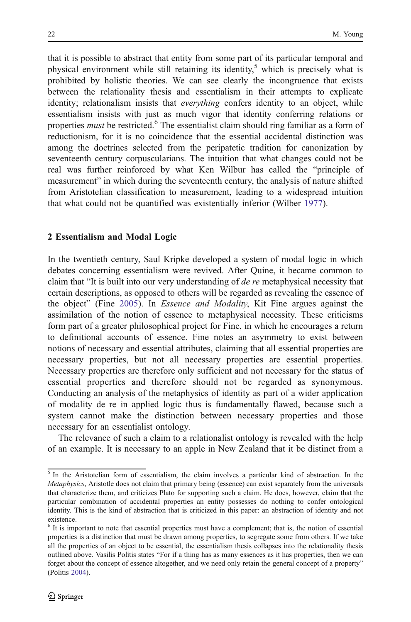that it is possible to abstract that entity from some part of its particular temporal and physical environment while still retaining its identity,<sup>5</sup> which is precisely what is prohibited by holistic theories. We can see clearly the incongruence that exists between the relationality thesis and essentialism in their attempts to explicate identity; relationalism insists that *everything* confers identity to an object, while essentialism insists with just as much vigor that identity conferring relations or properties *must* be restricted.<sup>6</sup> The essentialist claim should ring familiar as a form of reductionism, for it is no coincidence that the essential accidental distinction was among the doctrines selected from the peripatetic tradition for canonization by seventeenth century corpuscularians. The intuition that what changes could not be real was further reinforced by what Ken Wilbur has called the "principle of measurement" in which during the seventeenth century, the analysis of nature shifted from Aristotelian classification to measurement, leading to a widespread intuition that what could not be quantified was existentially inferior (Wilber [1977](#page-11-0)).

### 2 Essentialism and Modal Logic

In the twentieth century, Saul Kripke developed a system of modal logic in which debates concerning essentialism were revived. After Quine, it became common to claim that "It is built into our very understanding of *de re* metaphysical necessity that certain descriptions, as opposed to others will be regarded as revealing the essence of the object" (Fine [2005\)](#page-11-0). In Essence and Modality, Kit Fine argues against the assimilation of the notion of essence to metaphysical necessity. These criticisms form part of a greater philosophical project for Fine, in which he encourages a return to definitional accounts of essence. Fine notes an asymmetry to exist between notions of necessary and essential attributes, claiming that all essential properties are necessary properties, but not all necessary properties are essential properties. Necessary properties are therefore only sufficient and not necessary for the status of essential properties and therefore should not be regarded as synonymous. Conducting an analysis of the metaphysics of identity as part of a wider application of modality de re in applied logic thus is fundamentally flawed, because such a system cannot make the distinction between necessary properties and those necessary for an essentialist ontology.

The relevance of such a claim to a relationalist ontology is revealed with the help of an example. It is necessary to an apple in New Zealand that it be distinct from a

<sup>5</sup> In the Aristotelian form of essentialism, the claim involves a particular kind of abstraction. In the Metaphysics, Aristotle does not claim that primary being (essence) can exist separately from the universals that characterize them, and criticizes Plato for supporting such a claim. He does, however, claim that the particular combination of accidental properties an entity possesses do nothing to confer ontological identity. This is the kind of abstraction that is criticized in this paper: an abstraction of identity and not existence.

<sup>6</sup> It is important to note that essential properties must have a complement; that is, the notion of essential properties is a distinction that must be drawn among properties, to segregate some from others. If we take all the properties of an object to be essential, the essentialism thesis collapses into the relationality thesis outlined above. Vasilis Politis states "For if a thing has as many essences as it has properties, then we can forget about the concept of essence altogether, and we need only retain the general concept of a property" (Politis [2004](#page-11-0)).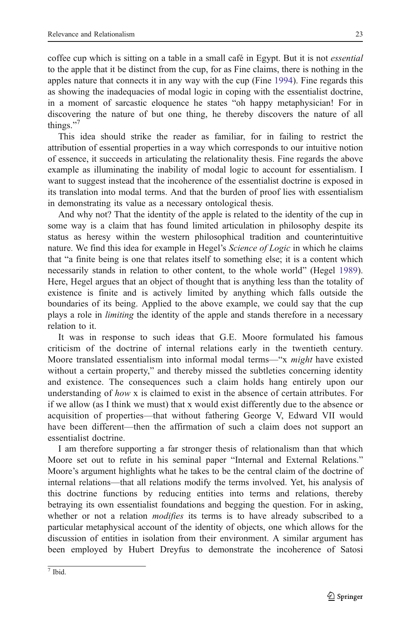coffee cup which is sitting on a table in a small café in Egypt. But it is not essential to the apple that it be distinct from the cup, for as Fine claims, there is nothing in the apples nature that connects it in any way with the cup (Fine [1994](#page-11-0)). Fine regards this as showing the inadequacies of modal logic in coping with the essentialist doctrine, in a moment of sarcastic eloquence he states "oh happy metaphysician! For in discovering the nature of but one thing, he thereby discovers the nature of all things."<sup>7</sup>

This idea should strike the reader as familiar, for in failing to restrict the attribution of essential properties in a way which corresponds to our intuitive notion of essence, it succeeds in articulating the relationality thesis. Fine regards the above example as illuminating the inability of modal logic to account for essentialism. I want to suggest instead that the incoherence of the essentialist doctrine is exposed in its translation into modal terms. And that the burden of proof lies with essentialism in demonstrating its value as a necessary ontological thesis.

And why not? That the identity of the apple is related to the identity of the cup in some way is a claim that has found limited articulation in philosophy despite its status as heresy within the western philosophical tradition and counterintuitive nature. We find this idea for example in Hegel's *Science of Logic* in which he claims that "a finite being is one that relates itself to something else; it is a content which necessarily stands in relation to other content, to the whole world" (Hegel [1989\)](#page-11-0). Here, Hegel argues that an object of thought that is anything less than the totality of existence is finite and is actively limited by anything which falls outside the boundaries of its being. Applied to the above example, we could say that the cup plays a role in limiting the identity of the apple and stands therefore in a necessary relation to it.

It was in response to such ideas that G.E. Moore formulated his famous criticism of the doctrine of internal relations early in the twentieth century. Moore translated essentialism into informal modal terms—"x might have existed without a certain property," and thereby missed the subtleties concerning identity and existence. The consequences such a claim holds hang entirely upon our understanding of how x is claimed to exist in the absence of certain attributes. For if we allow (as I think we must) that x would exist differently due to the absence or acquisition of properties—that without fathering George V, Edward VII would have been different—then the affirmation of such a claim does not support an essentialist doctrine.

I am therefore supporting a far stronger thesis of relationalism than that which Moore set out to refute in his seminal paper "Internal and External Relations." Moore's argument highlights what he takes to be the central claim of the doctrine of internal relations—that all relations modify the terms involved. Yet, his analysis of this doctrine functions by reducing entities into terms and relations, thereby betraying its own essentialist foundations and begging the question. For in asking, whether or not a relation *modifies* its terms is to have already subscribed to a particular metaphysical account of the identity of objects, one which allows for the discussion of entities in isolation from their environment. A similar argument has been employed by Hubert Dreyfus to demonstrate the incoherence of Satosi

<sup>7</sup> Ibid.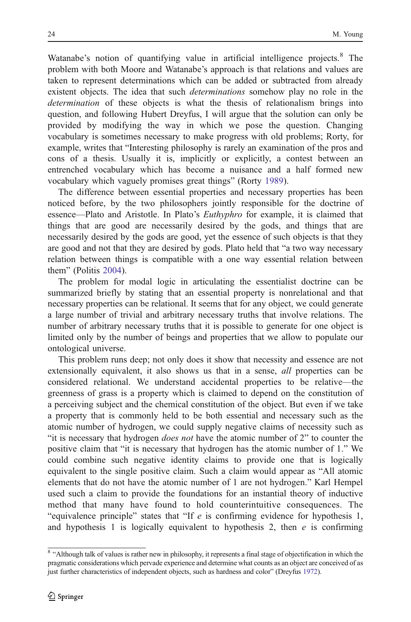Watanabe's notion of quantifying value in artificial intelligence projects.<sup>8</sup> The problem with both Moore and Watanabe's approach is that relations and values are taken to represent determinations which can be added or subtracted from already existent objects. The idea that such determinations somehow play no role in the determination of these objects is what the thesis of relationalism brings into question, and following Hubert Dreyfus, I will argue that the solution can only be provided by modifying the way in which we pose the question. Changing vocabulary is sometimes necessary to make progress with old problems; Rorty, for example, writes that "Interesting philosophy is rarely an examination of the pros and cons of a thesis. Usually it is, implicitly or explicitly, a contest between an entrenched vocabulary which has become a nuisance and a half formed new vocabulary which vaguely promises great things" (Rorty [1989](#page-11-0)).

The difference between essential properties and necessary properties has been noticed before, by the two philosophers jointly responsible for the doctrine of essence—Plato and Aristotle. In Plato's Euthyphro for example, it is claimed that things that are good are necessarily desired by the gods, and things that are necessarily desired by the gods are good, yet the essence of such objects is that they are good and not that they are desired by gods. Plato held that "a two way necessary relation between things is compatible with a one way essential relation between them" (Politis [2004](#page-11-0)).

The problem for modal logic in articulating the essentialist doctrine can be summarized briefly by stating that an essential property is nonrelational and that necessary properties can be relational. It seems that for any object, we could generate a large number of trivial and arbitrary necessary truths that involve relations. The number of arbitrary necessary truths that it is possible to generate for one object is limited only by the number of beings and properties that we allow to populate our ontological universe.

This problem runs deep; not only does it show that necessity and essence are not extensionally equivalent, it also shows us that in a sense, *all* properties can be considered relational. We understand accidental properties to be relative—the greenness of grass is a property which is claimed to depend on the constitution of a perceiving subject and the chemical constitution of the object. But even if we take a property that is commonly held to be both essential and necessary such as the atomic number of hydrogen, we could supply negative claims of necessity such as "it is necessary that hydrogen does not have the atomic number of 2" to counter the positive claim that "it is necessary that hydrogen has the atomic number of 1." We could combine such negative identity claims to provide one that is logically equivalent to the single positive claim. Such a claim would appear as "All atomic elements that do not have the atomic number of 1 are not hydrogen." Karl Hempel used such a claim to provide the foundations for an instantial theory of inductive method that many have found to hold counterintuitive consequences. The "equivalence principle" states that "If  $e$  is confirming evidence for hypothesis 1, and hypothesis 1 is logically equivalent to hypothesis 2, then  $e$  is confirming

<sup>&</sup>lt;sup>8</sup> "Although talk of values is rather new in philosophy, it represents a final stage of objectification in which the pragmatic considerations which pervade experience and determine what counts as an object are conceived of as just further characteristics of independent objects, such as hardness and color" (Dreyfus [1972\)](#page-11-0).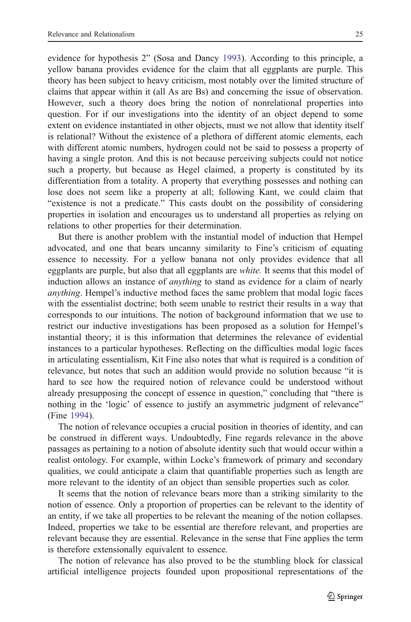evidence for hypothesis 2" (Sosa and Dancy [1993](#page-11-0)). According to this principle, a yellow banana provides evidence for the claim that all eggplants are purple. This theory has been subject to heavy criticism, most notably over the limited structure of claims that appear within it (all As are Bs) and concerning the issue of observation. However, such a theory does bring the notion of nonrelational properties into question. For if our investigations into the identity of an object depend to some extent on evidence instantiated in other objects, must we not allow that identity itself is relational? Without the existence of a plethora of different atomic elements, each with different atomic numbers, hydrogen could not be said to possess a property of having a single proton. And this is not because perceiving subjects could not notice such a property, but because as Hegel claimed, a property is constituted by its differentiation from a totality. A property that everything possesses and nothing can lose does not seem like a property at all; following Kant, we could claim that "existence is not a predicate." This casts doubt on the possibility of considering properties in isolation and encourages us to understand all properties as relying on relations to other properties for their determination.

But there is another problem with the instantial model of induction that Hempel advocated, and one that bears uncanny similarity to Fine's criticism of equating essence to necessity. For a yellow banana not only provides evidence that all eggplants are purple, but also that all eggplants are *white*. It seems that this model of induction allows an instance of *anything* to stand as evidence for a claim of nearly anything. Hempel's inductive method faces the same problem that modal logic faces with the essentialist doctrine; both seem unable to restrict their results in a way that corresponds to our intuitions. The notion of background information that we use to restrict our inductive investigations has been proposed as a solution for Hempel's instantial theory; it is this information that determines the relevance of evidential instances to a particular hypotheses. Reflecting on the difficulties modal logic faces in articulating essentialism, Kit Fine also notes that what is required is a condition of relevance, but notes that such an addition would provide no solution because "it is hard to see how the required notion of relevance could be understood without already presupposing the concept of essence in question," concluding that "there is nothing in the 'logic' of essence to justify an asymmetric judgment of relevance" (Fine [1994](#page-11-0)).

The notion of relevance occupies a crucial position in theories of identity, and can be construed in different ways. Undoubtedly, Fine regards relevance in the above passages as pertaining to a notion of absolute identity such that would occur within a realist ontology. For example, within Locke's framework of primary and secondary qualities, we could anticipate a claim that quantifiable properties such as length are more relevant to the identity of an object than sensible properties such as color.

It seems that the notion of relevance bears more than a striking similarity to the notion of essence. Only a proportion of properties can be relevant to the identity of an entity, if we take all properties to be relevant the meaning of the notion collapses. Indeed, properties we take to be essential are therefore relevant, and properties are relevant because they are essential. Relevance in the sense that Fine applies the term is therefore extensionally equivalent to essence.

The notion of relevance has also proved to be the stumbling block for classical artificial intelligence projects founded upon propositional representations of the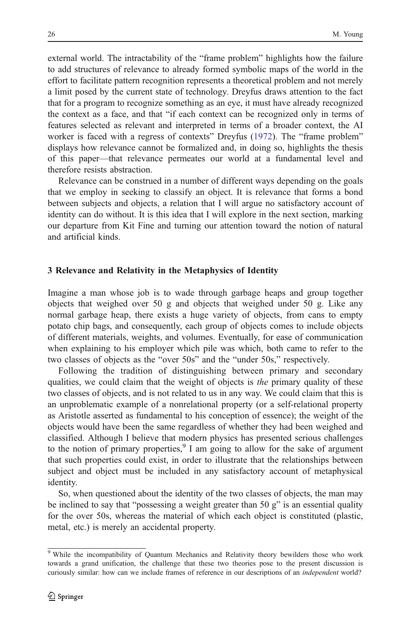external world. The intractability of the "frame problem" highlights how the failure to add structures of relevance to already formed symbolic maps of the world in the effort to facilitate pattern recognition represents a theoretical problem and not merely a limit posed by the current state of technology. Dreyfus draws attention to the fact that for a program to recognize something as an eye, it must have already recognized the context as a face, and that "if each context can be recognized only in terms of features selected as relevant and interpreted in terms of a broader context, the AI worker is faced with a regress of contexts" Dreyfus [\(1972](#page-11-0)). The "frame problem" displays how relevance cannot be formalized and, in doing so, highlights the thesis of this paper—that relevance permeates our world at a fundamental level and therefore resists abstraction.

Relevance can be construed in a number of different ways depending on the goals that we employ in seeking to classify an object. It is relevance that forms a bond between subjects and objects, a relation that I will argue no satisfactory account of identity can do without. It is this idea that I will explore in the next section, marking our departure from Kit Fine and turning our attention toward the notion of natural and artificial kinds.

#### 3 Relevance and Relativity in the Metaphysics of Identity

Imagine a man whose job is to wade through garbage heaps and group together objects that weighed over 50 g and objects that weighed under 50 g. Like any normal garbage heap, there exists a huge variety of objects, from cans to empty potato chip bags, and consequently, each group of objects comes to include objects of different materials, weights, and volumes. Eventually, for ease of communication when explaining to his employer which pile was which, both came to refer to the two classes of objects as the "over 50s" and the "under 50s," respectively.

Following the tradition of distinguishing between primary and secondary qualities, we could claim that the weight of objects is the primary quality of these two classes of objects, and is not related to us in any way. We could claim that this is an unproblematic example of a nonrelational property (or a self-relational property as Aristotle asserted as fundamental to his conception of essence); the weight of the objects would have been the same regardless of whether they had been weighed and classified. Although I believe that modern physics has presented serious challenges to the notion of primary properties,  $9<sup>9</sup>$  I am going to allow for the sake of argument that such properties could exist, in order to illustrate that the relationships between subject and object must be included in any satisfactory account of metaphysical identity.

So, when questioned about the identity of the two classes of objects, the man may be inclined to say that "possessing a weight greater than 50  $g$ " is an essential quality for the over 50s, whereas the material of which each object is constituted (plastic, metal, etc.) is merely an accidental property.

 $9$  While the incompatibility of Quantum Mechanics and Relativity theory bewilders those who work towards a grand unification, the challenge that these two theories pose to the present discussion is curiously similar: how can we include frames of reference in our descriptions of an *independent* world?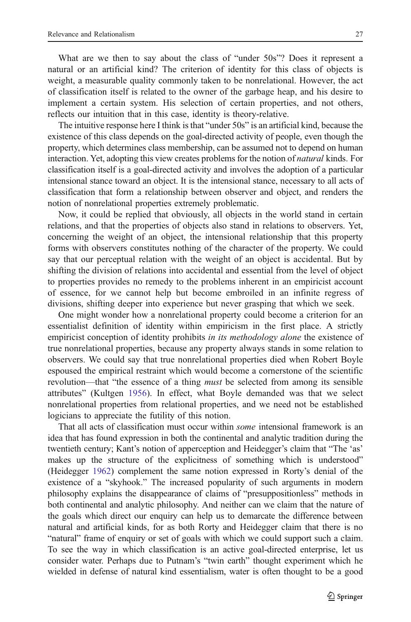What are we then to say about the class of "under 50s"? Does it represent a natural or an artificial kind? The criterion of identity for this class of objects is weight, a measurable quality commonly taken to be nonrelational. However, the act of classification itself is related to the owner of the garbage heap, and his desire to implement a certain system. His selection of certain properties, and not others, reflects our intuition that in this case, identity is theory-relative.

The intuitive response here I think is that "under 50s" is an artificial kind, because the existence of this class depends on the goal-directed activity of people, even though the property, which determines class membership, can be assumed not to depend on human interaction. Yet, adopting this view creates problems for the notion of natural kinds. For classification itself is a goal-directed activity and involves the adoption of a particular intensional stance toward an object. It is the intensional stance, necessary to all acts of classification that form a relationship between observer and object, and renders the notion of nonrelational properties extremely problematic.

Now, it could be replied that obviously, all objects in the world stand in certain relations, and that the properties of objects also stand in relations to observers. Yet, concerning the weight of an object, the intensional relationship that this property forms with observers constitutes nothing of the character of the property. We could say that our perceptual relation with the weight of an object is accidental. But by shifting the division of relations into accidental and essential from the level of object to properties provides no remedy to the problems inherent in an empiricist account of essence, for we cannot help but become embroiled in an infinite regress of divisions, shifting deeper into experience but never grasping that which we seek.

One might wonder how a nonrelational property could become a criterion for an essentialist definition of identity within empiricism in the first place. A strictly empiricist conception of identity prohibits *in its methodology alone* the existence of true nonrelational properties, because any property always stands in some relation to observers. We could say that true nonrelational properties died when Robert Boyle espoused the empirical restraint which would become a cornerstone of the scientific revolution—that "the essence of a thing *must* be selected from among its sensible attributes" (Kultgen [1956](#page-11-0)). In effect, what Boyle demanded was that we select nonrelational properties from relational properties, and we need not be established logicians to appreciate the futility of this notion.

That all acts of classification must occur within some intensional framework is an idea that has found expression in both the continental and analytic tradition during the twentieth century; Kant's notion of apperception and Heidegger's claim that "The 'as' makes up the structure of the explicitness of something which is understood" (Heidegger [1962\)](#page-11-0) complement the same notion expressed in Rorty's denial of the existence of a "skyhook." The increased popularity of such arguments in modern philosophy explains the disappearance of claims of "presuppositionless" methods in both continental and analytic philosophy. And neither can we claim that the nature of the goals which direct our enquiry can help us to demarcate the difference between natural and artificial kinds, for as both Rorty and Heidegger claim that there is no "natural" frame of enquiry or set of goals with which we could support such a claim. To see the way in which classification is an active goal-directed enterprise, let us consider water. Perhaps due to Putnam's "twin earth" thought experiment which he wielded in defense of natural kind essentialism, water is often thought to be a good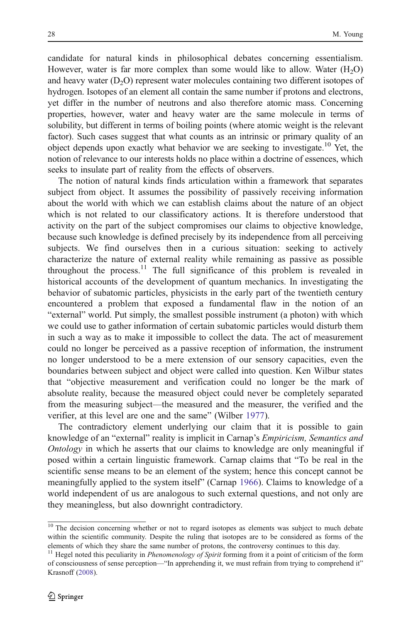candidate for natural kinds in philosophical debates concerning essentialism. However, water is far more complex than some would like to allow. Water  $(H<sub>2</sub>O)$ and heavy water  $(D<sub>2</sub>O)$  represent water molecules containing two different isotopes of hydrogen. Isotopes of an element all contain the same number if protons and electrons, yet differ in the number of neutrons and also therefore atomic mass. Concerning properties, however, water and heavy water are the same molecule in terms of solubility, but different in terms of boiling points (where atomic weight is the relevant factor). Such cases suggest that what counts as an intrinsic or primary quality of an object depends upon exactly what behavior we are seeking to investigate.<sup>10</sup> Yet, the notion of relevance to our interests holds no place within a doctrine of essences, which seeks to insulate part of reality from the effects of observers.

The notion of natural kinds finds articulation within a framework that separates subject from object. It assumes the possibility of passively receiving information about the world with which we can establish claims about the nature of an object which is not related to our classificatory actions. It is therefore understood that activity on the part of the subject compromises our claims to objective knowledge, because such knowledge is defined precisely by its independence from all perceiving subjects. We find ourselves then in a curious situation: seeking to actively characterize the nature of external reality while remaining as passive as possible throughout the process.<sup>11</sup> The full significance of this problem is revealed in historical accounts of the development of quantum mechanics. In investigating the behavior of subatomic particles, physicists in the early part of the twentieth century encountered a problem that exposed a fundamental flaw in the notion of an "external" world. Put simply, the smallest possible instrument (a photon) with which we could use to gather information of certain subatomic particles would disturb them in such a way as to make it impossible to collect the data. The act of measurement could no longer be perceived as a passive reception of information, the instrument no longer understood to be a mere extension of our sensory capacities, even the boundaries between subject and object were called into question. Ken Wilbur states that "objective measurement and verification could no longer be the mark of absolute reality, because the measured object could never be completely separated from the measuring subject—the measured and the measurer, the verified and the verifier, at this level are one and the same" (Wilber [1977\)](#page-11-0).

The contradictory element underlying our claim that it is possible to gain knowledge of an "external" reality is implicit in Carnap's Empiricism, Semantics and Ontology in which he asserts that our claims to knowledge are only meaningful if posed within a certain linguistic framework. Carnap claims that "To be real in the scientific sense means to be an element of the system; hence this concept cannot be meaningfully applied to the system itself" (Carnap [1966](#page-11-0)). Claims to knowledge of a world independent of us are analogous to such external questions, and not only are they meaningless, but also downright contradictory.

<sup>&</sup>lt;sup>10</sup> The decision concerning whether or not to regard isotopes as elements was subject to much debate within the scientific community. Despite the ruling that isotopes are to be considered as forms of the elements of which they share the same number of protons, the controversy continues to this day.<br><sup>11</sup> Hegel noted this peculiarity in *Phenomenology of Spirit* forming from it a point of criticism of the form

of consciousness of sense perception—"In apprehending it, we must refrain from trying to comprehend it" Krasnoff [\(2008\)](#page-11-0).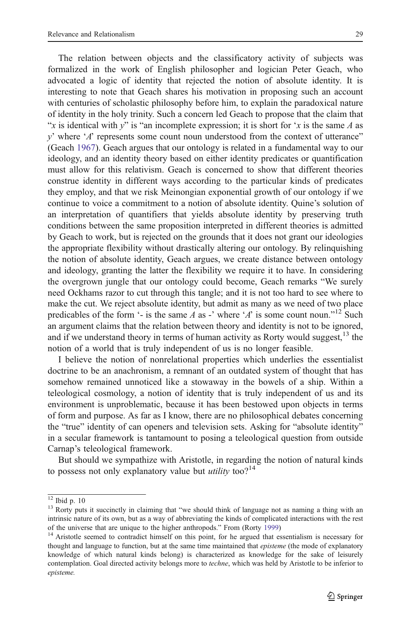The relation between objects and the classificatory activity of subjects was formalized in the work of English philosopher and logician Peter Geach, who advocated a logic of identity that rejected the notion of absolute identity. It is interesting to note that Geach shares his motivation in proposing such an account with centuries of scholastic philosophy before him, to explain the paradoxical nature of identity in the holy trinity. Such a concern led Geach to propose that the claim that "x is identical with y" is "an incomplete expression; it is short for 'x is the same A as  $v'$  where 'A' represents some count noun understood from the context of utterance" (Geach [1967](#page-11-0)). Geach argues that our ontology is related in a fundamental way to our ideology, and an identity theory based on either identity predicates or quantification must allow for this relativism. Geach is concerned to show that different theories construe identity in different ways according to the particular kinds of predicates they employ, and that we risk Meinongian exponential growth of our ontology if we continue to voice a commitment to a notion of absolute identity. Quine's solution of an interpretation of quantifiers that yields absolute identity by preserving truth conditions between the same proposition interpreted in different theories is admitted by Geach to work, but is rejected on the grounds that it does not grant our ideologies the appropriate flexibility without drastically altering our ontology. By relinquishing the notion of absolute identity, Geach argues, we create distance between ontology and ideology, granting the latter the flexibility we require it to have. In considering the overgrown jungle that our ontology could become, Geach remarks "We surely need Ockhams razor to cut through this tangle; and it is not too hard to see where to make the cut. We reject absolute identity, but admit as many as we need of two place predicables of the form '- is the same A as -' where 'A' is some count noun."<sup>12</sup> Such an argument claims that the relation between theory and identity is not to be ignored, and if we understand theory in terms of human activity as Rorty would suggest,  $13$  the notion of a world that is truly independent of us is no longer feasible.

I believe the notion of nonrelational properties which underlies the essentialist doctrine to be an anachronism, a remnant of an outdated system of thought that has somehow remained unnoticed like a stowaway in the bowels of a ship. Within a teleological cosmology, a notion of identity that is truly independent of us and its environment is unproblematic, because it has been bestowed upon objects in terms of form and purpose. As far as I know, there are no philosophical debates concerning the "true" identity of can openers and television sets. Asking for "absolute identity" in a secular framework is tantamount to posing a teleological question from outside Carnap's teleological framework.

But should we sympathize with Aristotle, in regarding the notion of natural kinds to possess not only explanatory value but *utility* too?<sup>14</sup>

 $\frac{12}{12}$  Ibid p. 10<br><sup>13</sup> Rorty puts it succinctly in claiming that "we should think of language not as naming a thing with an intrinsic nature of its own, but as a way of abbreviating the kinds of complicated interactions with the rest of the universe that are unique to the higher anthropods." From (Rorty [1999](#page-11-0))

<sup>&</sup>lt;sup>14</sup> Aristotle seemed to contradict himself on this point, for he argued that essentialism is necessary for thought and language to function, but at the same time maintained that episteme (the mode of explanatory knowledge of which natural kinds belong) is characterized as knowledge for the sake of leisurely contemplation. Goal directed activity belongs more to *techne*, which was held by Aristotle to be inferior to episteme.